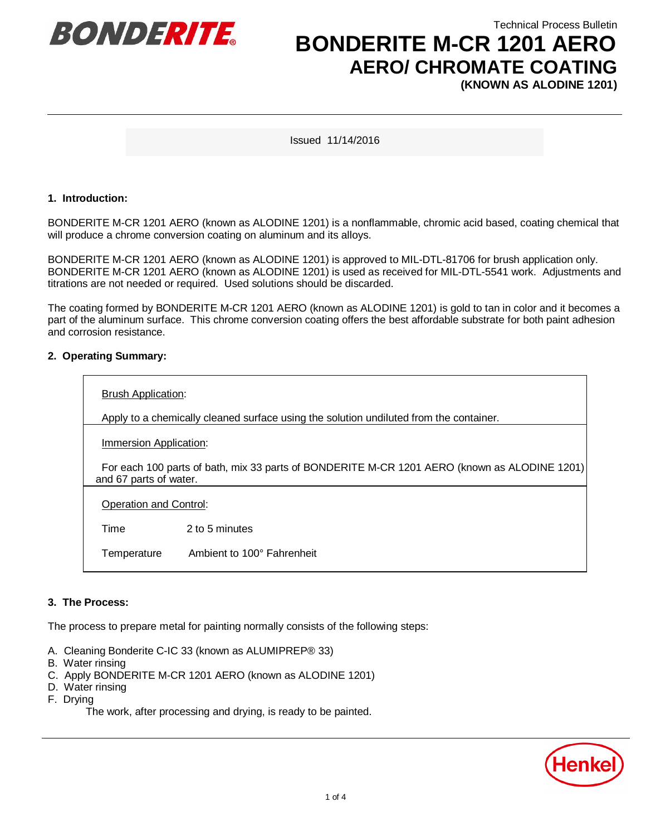

Technical Process Bulletin

### **BONDERITE M-CR 1201 AERO AERO/ CHROMATE COATING (KNOWN AS ALODINE 1201)**

Issued 11/14/2016

#### **1. Introduction:**

BONDERITE M-CR 1201 AERO (known as ALODINE 1201) is a nonflammable, chromic acid based, coating chemical that will produce a chrome conversion coating on aluminum and its alloys.

BONDERITE M-CR 1201 AERO (known as ALODINE 1201) is approved to MIL-DTL-81706 for brush application only. BONDERITE M-CR 1201 AERO (known as ALODINE 1201) is used as received for MIL-DTL-5541 work. Adjustments and titrations are not needed or required. Used solutions should be discarded.

The coating formed by BONDERITE M-CR 1201 AERO (known as ALODINE 1201) is gold to tan in color and it becomes a part of the aluminum surface. This chrome conversion coating offers the best affordable substrate for both paint adhesion and corrosion resistance.

#### **2. Operating Summary:**

| <b>Brush Application:</b>                                                                                              |                            |
|------------------------------------------------------------------------------------------------------------------------|----------------------------|
| Apply to a chemically cleaned surface using the solution undiluted from the container.                                 |                            |
| <b>Immersion Application:</b>                                                                                          |                            |
| For each 100 parts of bath, mix 33 parts of BONDERITE M-CR 1201 AERO (known as ALODINE 1201)<br>and 67 parts of water. |                            |
| Operation and Control:                                                                                                 |                            |
| Time                                                                                                                   | 2 to 5 minutes             |
| Temperature                                                                                                            | Ambient to 100° Fahrenheit |

#### **3. The Process:**

The process to prepare metal for painting normally consists of the following steps:

- A. Cleaning Bonderite C-IC 33 (known as ALUMIPREP® 33)
- B. Water rinsing
- C. Apply BONDERITE M-CR 1201 AERO (known as ALODINE 1201)
- D. Water rinsing
- F. Drying

The work, after processing and drying, is ready to be painted.

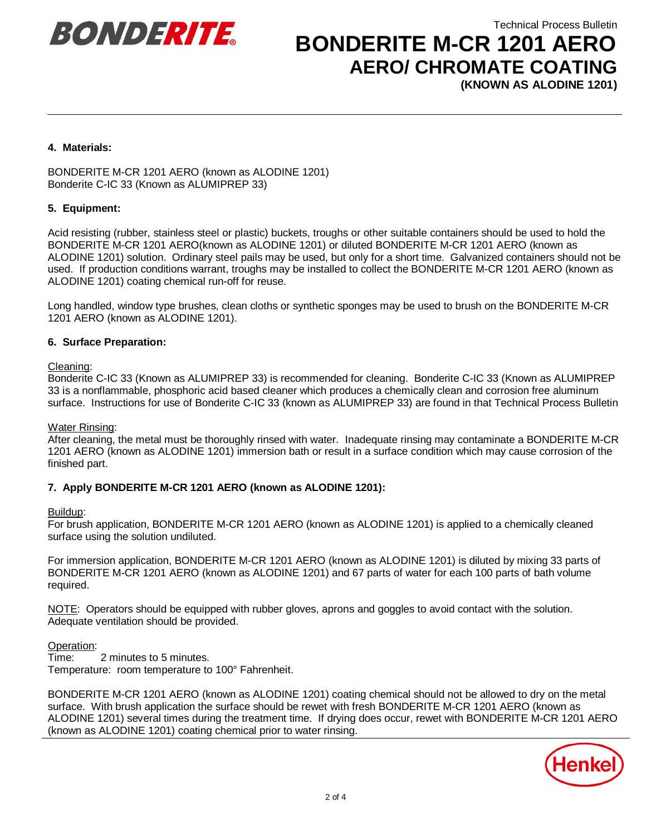



## **BONDERITE M-CR 1201 AERO AERO/ CHROMATE COATING**

**(KNOWN AS ALODINE 1201)**

#### **4. Materials:**

BONDERITE M-CR 1201 AERO (known as ALODINE 1201) Bonderite C-IC 33 (Known as ALUMIPREP 33)

#### **5. Equipment:**

Acid resisting (rubber, stainless steel or plastic) buckets, troughs or other suitable containers should be used to hold the BONDERITE M-CR 1201 AERO(known as ALODINE 1201) or diluted BONDERITE M-CR 1201 AERO (known as ALODINE 1201) solution. Ordinary steel pails may be used, but only for a short time. Galvanized containers should not be used. If production conditions warrant, troughs may be installed to collect the BONDERITE M-CR 1201 AERO (known as ALODINE 1201) coating chemical run-off for reuse.

Long handled, window type brushes, clean cloths or synthetic sponges may be used to brush on the BONDERITE M-CR 1201 AERO (known as ALODINE 1201).

#### **6. Surface Preparation:**

#### Cleaning:

Bonderite C-IC 33 (Known as ALUMIPREP 33) is recommended for cleaning. Bonderite C-IC 33 (Known as ALUMIPREP 33 is a nonflammable, phosphoric acid based cleaner which produces a chemically clean and corrosion free aluminum surface. Instructions for use of Bonderite C-IC 33 (known as ALUMIPREP 33) are found in that Technical Process Bulletin

#### Water Rinsing:

After cleaning, the metal must be thoroughly rinsed with water. Inadequate rinsing may contaminate a BONDERITE M-CR 1201 AERO (known as ALODINE 1201) immersion bath or result in a surface condition which may cause corrosion of the finished part.

#### **7. Apply BONDERITE M-CR 1201 AERO (known as ALODINE 1201):**

#### Buildup:

For brush application, BONDERITE M-CR 1201 AERO (known as ALODINE 1201) is applied to a chemically cleaned surface using the solution undiluted.

For immersion application, BONDERITE M-CR 1201 AERO (known as ALODINE 1201) is diluted by mixing 33 parts of BONDERITE M-CR 1201 AERO (known as ALODINE 1201) and 67 parts of water for each 100 parts of bath volume required.

NOTE: Operators should be equipped with rubber gloves, aprons and goggles to avoid contact with the solution. Adequate ventilation should be provided.

#### Operation:

Time: 2 minutes to 5 minutes. Temperature: room temperature to 100° Fahrenheit.

BONDERITE M-CR 1201 AERO (known as ALODINE 1201) coating chemical should not be allowed to dry on the metal surface. With brush application the surface should be rewet with fresh BONDERITE M-CR 1201 AERO (known as ALODINE 1201) several times during the treatment time. If drying does occur, rewet with BONDERITE M-CR 1201 AERO (known as ALODINE 1201) coating chemical prior to water rinsing.

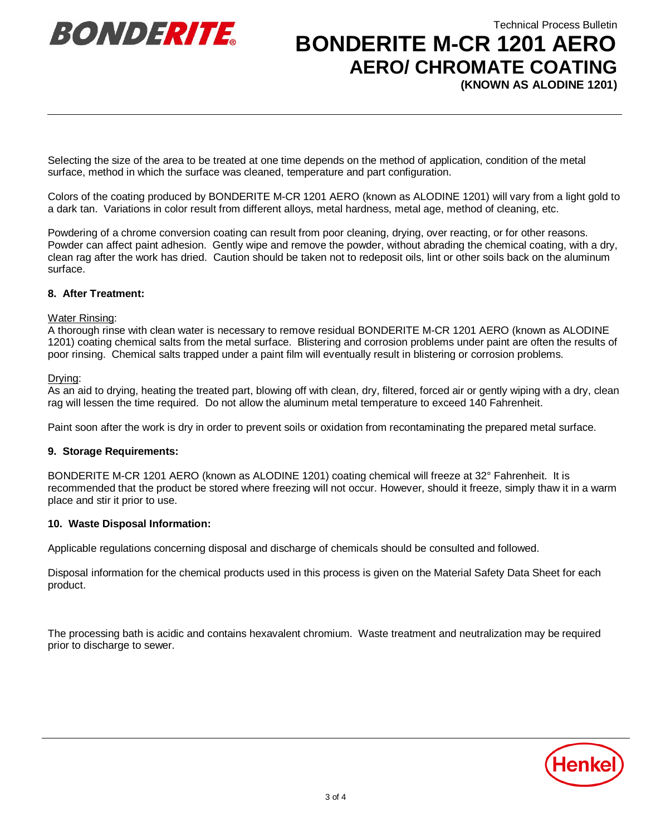



# **BONDERITE M-CR 1201 AERO AERO/ CHROMATE COATING**

**(KNOWN AS ALODINE 1201)**

Selecting the size of the area to be treated at one time depends on the method of application, condition of the metal surface, method in which the surface was cleaned, temperature and part configuration.

Colors of the coating produced by BONDERITE M-CR 1201 AERO (known as ALODINE 1201) will vary from a light gold to a dark tan. Variations in color result from different alloys, metal hardness, metal age, method of cleaning, etc.

Powdering of a chrome conversion coating can result from poor cleaning, drying, over reacting, or for other reasons. Powder can affect paint adhesion. Gently wipe and remove the powder, without abrading the chemical coating, with a dry, clean rag after the work has dried. Caution should be taken not to redeposit oils, lint or other soils back on the aluminum surface.

#### **8. After Treatment:**

#### Water Rinsing:

A thorough rinse with clean water is necessary to remove residual BONDERITE M-CR 1201 AERO (known as ALODINE 1201) coating chemical salts from the metal surface. Blistering and corrosion problems under paint are often the results of poor rinsing. Chemical salts trapped under a paint film will eventually result in blistering or corrosion problems.

#### Drying:

As an aid to drying, heating the treated part, blowing off with clean, dry, filtered, forced air or gently wiping with a dry, clean rag will lessen the time required. Do not allow the aluminum metal temperature to exceed 140 Fahrenheit.

Paint soon after the work is dry in order to prevent soils or oxidation from recontaminating the prepared metal surface.

#### **9. Storage Requirements:**

BONDERITE M-CR 1201 AERO (known as ALODINE 1201) coating chemical will freeze at 32° Fahrenheit. It is recommended that the product be stored where freezing will not occur. However, should it freeze, simply thaw it in a warm place and stir it prior to use.

#### **10. Waste Disposal Information:**

Applicable regulations concerning disposal and discharge of chemicals should be consulted and followed.

Disposal information for the chemical products used in this process is given on the Material Safety Data Sheet for each product.

The processing bath is acidic and contains hexavalent chromium. Waste treatment and neutralization may be required prior to discharge to sewer.